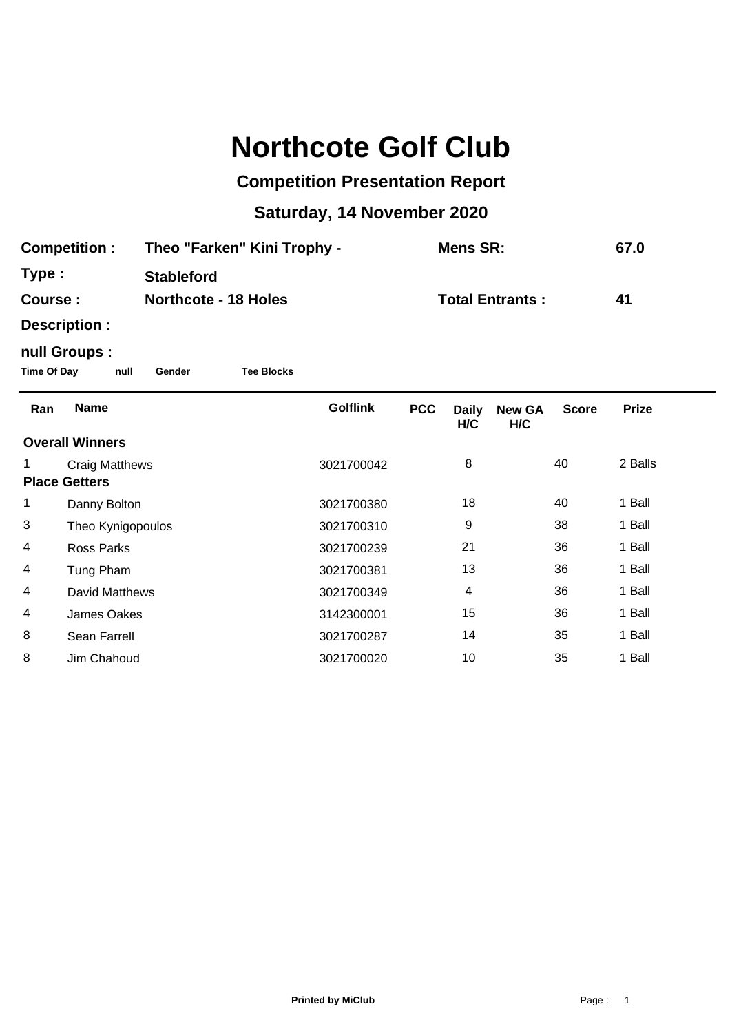## **Northcote Golf Club**

## **Competition Presentation Report**

## **Saturday, 14 November 2020**

| <b>Competition:</b>    |                                                                            | Theo "Farken" Kini Trophy - |  |                        | <b>Mens SR:</b> |                     |                      | 67.0         |              |  |  |  |  |  |
|------------------------|----------------------------------------------------------------------------|-----------------------------|--|------------------------|-----------------|---------------------|----------------------|--------------|--------------|--|--|--|--|--|
| Type:                  |                                                                            | <b>Stableford</b>           |  |                        |                 |                     |                      |              |              |  |  |  |  |  |
| Course:                |                                                                            | <b>Northcote - 18 Holes</b> |  | <b>Total Entrants:</b> |                 |                     | 41                   |              |              |  |  |  |  |  |
|                        | Description :                                                              |                             |  |                        |                 |                     |                      |              |              |  |  |  |  |  |
|                        | null Groups :<br><b>Time Of Day</b><br>null<br><b>Tee Blocks</b><br>Gender |                             |  |                        |                 |                     |                      |              |              |  |  |  |  |  |
| Ran                    | <b>Name</b>                                                                |                             |  | <b>Golflink</b>        | <b>PCC</b>      | <b>Daily</b><br>H/C | <b>New GA</b><br>H/C | <b>Score</b> | <b>Prize</b> |  |  |  |  |  |
| <b>Overall Winners</b> |                                                                            |                             |  |                        |                 |                     |                      |              |              |  |  |  |  |  |
|                        | <b>Craig Matthews</b><br><b>Place Getters</b>                              |                             |  | 3021700042             |                 | 8                   |                      | 40           | 2 Balls      |  |  |  |  |  |
| 1                      | Danny Bolton                                                               |                             |  | 3021700380             |                 | 18                  |                      | 40           | 1 Ball       |  |  |  |  |  |
| 3                      | Theo Kynigopoulos                                                          |                             |  | 3021700310             |                 | 9                   |                      | 38           | 1 Ball       |  |  |  |  |  |
| 4                      | <b>Ross Parks</b>                                                          |                             |  | 3021700239             |                 | 21                  |                      | 36           | 1 Ball       |  |  |  |  |  |
| 4                      | Tung Pham                                                                  |                             |  | 3021700381             |                 | 13                  |                      | 36           | 1 Ball       |  |  |  |  |  |
| 4                      | <b>David Matthews</b>                                                      |                             |  | 3021700349             |                 | 4                   |                      | 36           | 1 Ball       |  |  |  |  |  |
| 4                      | James Oakes                                                                |                             |  | 3142300001             |                 | 15                  |                      | 36           | 1 Ball       |  |  |  |  |  |
| 8                      | Sean Farrell                                                               |                             |  | 3021700287             |                 | 14                  |                      | 35           | 1 Ball       |  |  |  |  |  |
| 8                      | Jim Chahoud                                                                |                             |  | 3021700020             |                 | 10                  |                      | 35           | 1 Ball       |  |  |  |  |  |